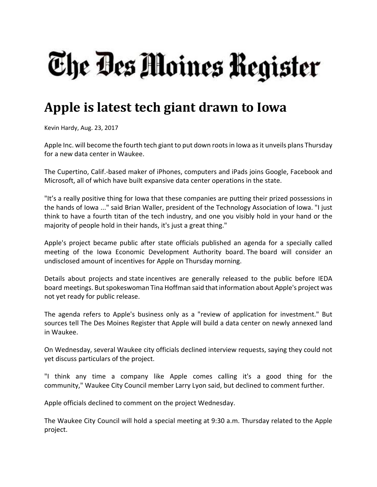## The Des Moines Register

## **Apple is latest tech giant drawn to Iowa**

Kevin Hardy, Aug. 23, 2017

Apple Inc. will become the fourth tech giant to put down roots in Iowa as it unveils plans Thursday for a new data center in Waukee.

The Cupertino, Calif.‐based maker of iPhones, computers and iPads joins Google, Facebook and Microsoft, all of which have built expansive data center operations in the state.

"It's a really positive thing for Iowa that these companies are putting their prized possessions in the hands of Iowa ..." said Brian Waller, president of the Technology Association of Iowa. "I just think to have a fourth titan of the tech industry, and one you visibly hold in your hand or the majority of people hold in their hands, it's just a great thing."

Apple's project became public after state officials published an agenda for a specially called meeting of the Iowa Economic Development Authority board. The board will consider an undisclosed amount of incentives for Apple on Thursday morning.

Details about projects and state incentives are generally released to the public before IEDA board meetings. But spokeswoman Tina Hoffman said that information about Apple's project was not yet ready for public release.

The agenda refers to Apple's business only as a "review of application for investment." But sources tell The Des Moines Register that Apple will build a data center on newly annexed land in Waukee.

On Wednesday, several Waukee city officials declined interview requests, saying they could not yet discuss particulars of the project.

"I think any time a company like Apple comes calling it's a good thing for the community," Waukee City Council member Larry Lyon said, but declined to comment further.

Apple officials declined to comment on the project Wednesday.

The Waukee City Council will hold a special meeting at 9:30 a.m. Thursday related to the Apple project.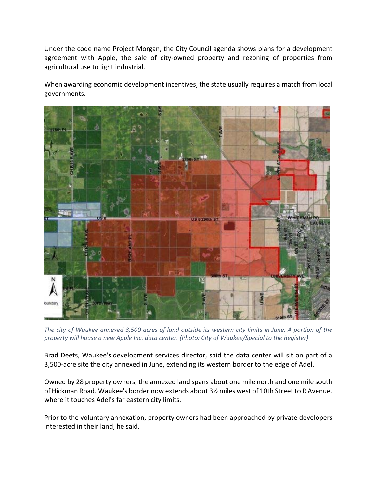Under the code name Project Morgan, the City Council agenda shows plans for a development agreement with Apple, the sale of city-owned property and rezoning of properties from agricultural use to light industrial.

When awarding economic development incentives, the state usually requires a match from local governments.



The city of Waukee annexed 3,500 acres of land outside its western city limits in June. A portion of the *property will house a new Apple Inc. data center. (Photo: City of Waukee/Special to the Register)*

Brad Deets, Waukee's development services director, said the data center will sit on part of a 3,500‐acre site the city annexed in June, extending its western border to the edge of Adel.

Owned by 28 property owners, the annexed land spans about one mile north and one mile south of Hickman Road. Waukee's border now extends about 3½ miles west of 10th Street to R Avenue, where it touches Adel's far eastern city limits.

Prior to the voluntary annexation, property owners had been approached by private developers interested in their land, he said.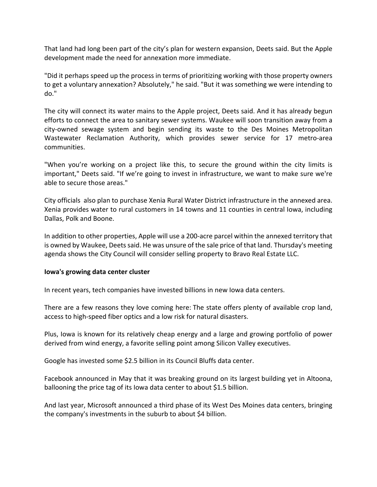That land had long been part of the city's plan for western expansion, Deets said. But the Apple development made the need for annexation more immediate.

"Did it perhaps speed up the process in terms of prioritizing working with those property owners to get a voluntary annexation? Absolutely," he said. "But it was something we were intending to do."

The city will connect its water mains to the Apple project, Deets said. And it has already begun efforts to connect the area to sanitary sewer systems. Waukee will soon transition away from a city‐owned sewage system and begin sending its waste to the Des Moines Metropolitan Wastewater Reclamation Authority, which provides sewer service for 17 metro-area communities.

"When you're working on a project like this, to secure the ground within the city limits is important," Deets said. "If we're going to invest in infrastructure, we want to make sure we're able to secure those areas."

City officials also plan to purchase Xenia Rural Water District infrastructure in the annexed area. Xenia provides water to rural customers in 14 towns and 11 counties in central Iowa, including Dallas, Polk and Boone.

In addition to other properties, Apple will use a 200‐acre parcel within the annexed territory that is owned by Waukee, Deets said. He was unsure of the sale price of that land. Thursday's meeting agenda shows the City Council will consider selling property to Bravo Real Estate LLC.

## **Iowa's growing data center cluster**

In recent years, tech companies have invested billions in new Iowa data centers.

There are a few reasons they love coming here: The state offers plenty of available crop land, access to high‐speed fiber optics and a low risk for natural disasters.

Plus, Iowa is known for its relatively cheap energy and a large and growing portfolio of power derived from wind energy, a favorite selling point among Silicon Valley executives.

Google has invested some \$2.5 billion in its Council Bluffs data center.

Facebook announced in May that it was breaking ground on its largest building yet in Altoona, ballooning the price tag of its Iowa data center to about \$1.5 billion.

And last year, Microsoft announced a third phase of its West Des Moines data centers, bringing the company's investments in the suburb to about \$4 billion.